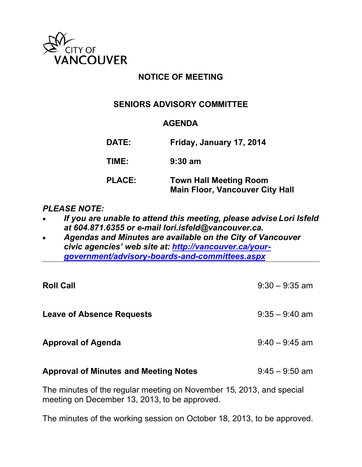

## **NOTICE OF MEETING**

## **SENIORS ADVISORY COMMITTEE**

## **AGENDA**

**DATE: Friday, January 17, 2014 TIME: 9:30 am PLACE: Town Hall Meeting Room Main Floor, Vancouver City Hall**

## *PLEASE NOTE:*

- *If you are unable to attend this meeting, please advise Lori Isfeld at 604.871.6355 or e-mail lori.isfeld@vancouver.ca.*
- *Agendas and Minutes are available on the City of Vancouver civic agencies' web site at: [http://vancouver.ca/your](http://vancouver.ca/your-government/advisory-boards-and-committees.aspx)[government/advisory-boards-and-committees.aspx](http://vancouver.ca/your-government/advisory-boards-and-committees.aspx)*

| <b>Roll Call</b>                             | $9:30 - 9:35$ am |
|----------------------------------------------|------------------|
| <b>Leave of Absence Requests</b>             | $9:35 - 9:40$ am |
| <b>Approval of Agenda</b>                    | $9:40 - 9:45$ am |
| <b>Approval of Minutes and Meeting Notes</b> | $9:45 - 9:50$ am |
|                                              |                  |

The minutes of the regular meeting on November 15, 2013, and special meeting on December 13, 2013, to be approved.

The minutes of the working session on October 18, 2013, to be approved.